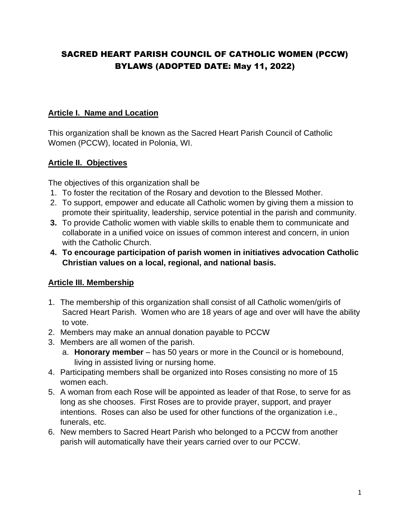# SACRED HEART PARISH COUNCIL OF CATHOLIC WOMEN (PCCW) BYLAWS (ADOPTED DATE: May 11, 2022)

### **Article I. Name and Location**

This organization shall be known as the Sacred Heart Parish Council of Catholic Women (PCCW), located in Polonia, WI.

### **Article II. Objectives**

The objectives of this organization shall be

- 1. To foster the recitation of the Rosary and devotion to the Blessed Mother.
- 2. To support, empower and educate all Catholic women by giving them a mission to promote their spirituality, leadership, service potential in the parish and community.
- **3.** To provide Catholic women with viable skills to enable them to communicate and collaborate in a unified voice on issues of common interest and concern, in union with the Catholic Church.
- **4. To encourage participation of parish women in initiatives advocation Catholic Christian values on a local, regional, and national basis.**

## **Article III. Membership**

- 1. The membership of this organization shall consist of all Catholic women/girls of Sacred Heart Parish. Women who are 18 years of age and over will have the ability to vote.
- 2. Members may make an annual donation payable to PCCW
- 3. Members are all women of the parish.
	- a. **Honorary member** has 50 years or more in the Council or is homebound, living in assisted living or nursing home.
- 4. Participating members shall be organized into Roses consisting no more of 15 women each.
- 5. A woman from each Rose will be appointed as leader of that Rose, to serve for as long as she chooses. First Roses are to provide prayer, support, and prayer intentions. Roses can also be used for other functions of the organization i.e., funerals, etc.
- 6. New members to Sacred Heart Parish who belonged to a PCCW from another parish will automatically have their years carried over to our PCCW.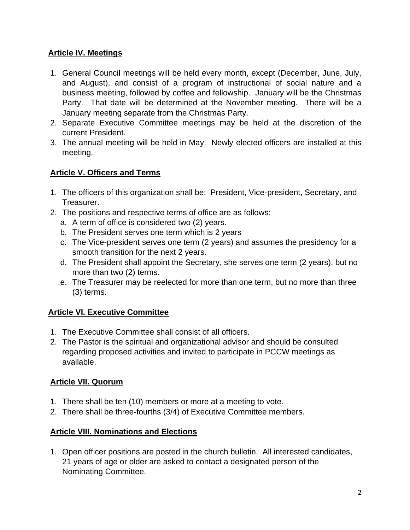## **Article IV. Meetings**

- 1. General Council meetings will be held every month, except (December, June, July, and August), and consist of a program of instructional of social nature and a business meeting, followed by coffee and fellowship. January will be the Christmas Party. That date will be determined at the November meeting. There will be a January meeting separate from the Christmas Party.
- 2. Separate Executive Committee meetings may be held at the discretion of the current President.
- 3. The annual meeting will be held in May. Newly elected officers are installed at this meeting.

## **Article V. Officers and Terms**

- 1. The officers of this organization shall be: President, Vice-president, Secretary, and Treasurer.
- 2. The positions and respective terms of office are as follows:
	- a. A term of office is considered two (2) years.
	- b. The President serves one term which is 2 years
	- c. The Vice-president serves one term (2 years) and assumes the presidency for a smooth transition for the next 2 years.
	- d. The President shall appoint the Secretary, she serves one term (2 years), but no more than two (2) terms.
	- e. The Treasurer may be reelected for more than one term, but no more than three (3) terms.

## **Article VI. Executive Committee**

- 1. The Executive Committee shall consist of all officers.
- 2. The Pastor is the spiritual and organizational advisor and should be consulted regarding proposed activities and invited to participate in PCCW meetings as available.

## **Article VII. Quorum**

- 1. There shall be ten (10) members or more at a meeting to vote.
- 2. There shall be three-fourths (3/4) of Executive Committee members.

## **Article VIII. Nominations and Elections**

1. Open officer positions are posted in the church bulletin. All interested candidates, 21 years of age or older are asked to contact a designated person of the Nominating Committee.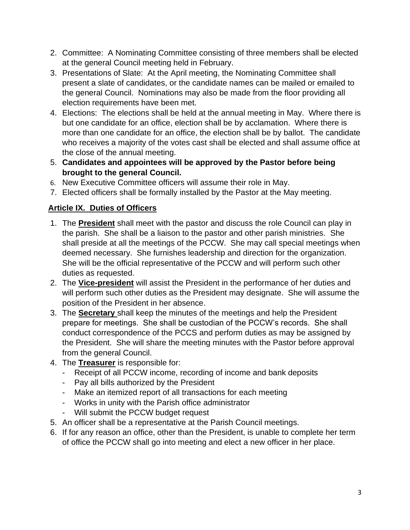- 2. Committee: A Nominating Committee consisting of three members shall be elected at the general Council meeting held in February.
- 3. Presentations of Slate: At the April meeting, the Nominating Committee shall present a slate of candidates, or the candidate names can be mailed or emailed to the general Council. Nominations may also be made from the floor providing all election requirements have been met.
- 4. Elections: The elections shall be held at the annual meeting in May. Where there is but one candidate for an office, election shall be by acclamation. Where there is more than one candidate for an office, the election shall be by ballot. The candidate who receives a majority of the votes cast shall be elected and shall assume office at the close of the annual meeting.
- 5. **Candidates and appointees will be approved by the Pastor before being brought to the general Council.**
- 6. New Executive Committee officers will assume their role in May.
- 7. Elected officers shall be formally installed by the Pastor at the May meeting.

# **Article IX. Duties of Officers**

- 1. The **President** shall meet with the pastor and discuss the role Council can play in the parish. She shall be a liaison to the pastor and other parish ministries. She shall preside at all the meetings of the PCCW. She may call special meetings when deemed necessary. She furnishes leadership and direction for the organization. She will be the official representative of the PCCW and will perform such other duties as requested.
- 2. The **Vice-president** will assist the President in the performance of her duties and will perform such other duties as the President may designate. She will assume the position of the President in her absence.
- 3. The **Secretary** shall keep the minutes of the meetings and help the President prepare for meetings. She shall be custodian of the PCCW's records. She shall conduct correspondence of the PCCS and perform duties as may be assigned by the President. She will share the meeting minutes with the Pastor before approval from the general Council.
- 4. The **Treasurer** is responsible for:
	- Receipt of all PCCW income, recording of income and bank deposits
	- Pay all bills authorized by the President
	- Make an itemized report of all transactions for each meeting
	- Works in unity with the Parish office administrator
	- Will submit the PCCW budget request
- 5. An officer shall be a representative at the Parish Council meetings.
- 6. If for any reason an office, other than the President, is unable to complete her term of office the PCCW shall go into meeting and elect a new officer in her place.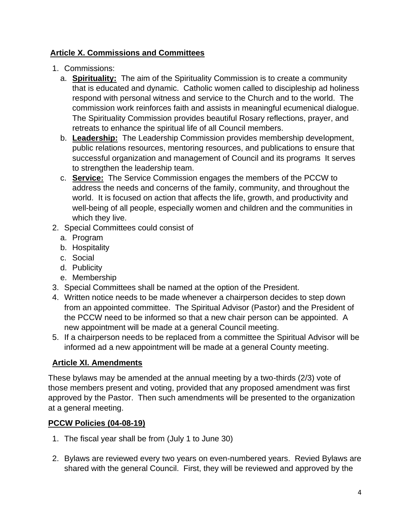## **Article X. Commissions and Committees**

- 1. Commissions:
	- a. **Spirituality:** The aim of the Spirituality Commission is to create a community that is educated and dynamic. Catholic women called to discipleship ad holiness respond with personal witness and service to the Church and to the world. The commission work reinforces faith and assists in meaningful ecumenical dialogue. The Spirituality Commission provides beautiful Rosary reflections, prayer, and retreats to enhance the spiritual life of all Council members.
	- b. **Leadership:** The Leadership Commission provides membership development, public relations resources, mentoring resources, and publications to ensure that successful organization and management of Council and its programs It serves to strengthen the leadership team.
	- c. **Service:** The Service Commission engages the members of the PCCW to address the needs and concerns of the family, community, and throughout the world. It is focused on action that affects the life, growth, and productivity and well-being of all people, especially women and children and the communities in which they live.
- 2. Special Committees could consist of
	- a. Program
	- b. Hospitality
	- c. Social
	- d. Publicity
	- e. Membership
- 3. Special Committees shall be named at the option of the President.
- 4. Written notice needs to be made whenever a chairperson decides to step down from an appointed committee. The Spiritual Advisor (Pastor) and the President of the PCCW need to be informed so that a new chair person can be appointed. A new appointment will be made at a general Council meeting.
- 5. If a chairperson needs to be replaced from a committee the Spiritual Advisor will be informed ad a new appointment will be made at a general County meeting.

# **Article XI. Amendments**

These bylaws may be amended at the annual meeting by a two-thirds (2/3) vote of those members present and voting, provided that any proposed amendment was first approved by the Pastor. Then such amendments will be presented to the organization at a general meeting.

## **PCCW Policies (04-08-19)**

- 1. The fiscal year shall be from (July 1 to June 30)
- 2. Bylaws are reviewed every two years on even-numbered years. Revied Bylaws are shared with the general Council. First, they will be reviewed and approved by the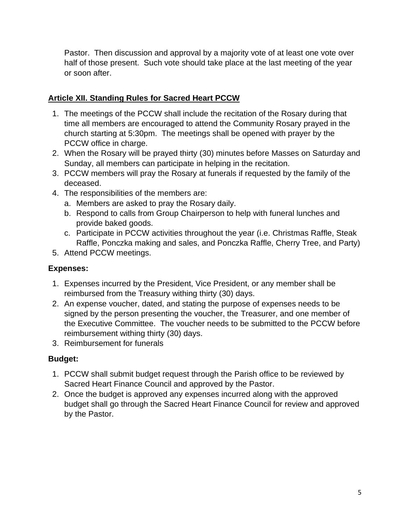Pastor. Then discussion and approval by a majority vote of at least one vote over half of those present. Such vote should take place at the last meeting of the year or soon after.

## **Article XII. Standing Rules for Sacred Heart PCCW**

- 1. The meetings of the PCCW shall include the recitation of the Rosary during that time all members are encouraged to attend the Community Rosary prayed in the church starting at 5:30pm. The meetings shall be opened with prayer by the PCCW office in charge.
- 2. When the Rosary will be prayed thirty (30) minutes before Masses on Saturday and Sunday, all members can participate in helping in the recitation.
- 3. PCCW members will pray the Rosary at funerals if requested by the family of the deceased.
- 4. The responsibilities of the members are:
	- a. Members are asked to pray the Rosary daily.
	- b. Respond to calls from Group Chairperson to help with funeral lunches and provide baked goods.
	- c. Participate in PCCW activities throughout the year (i.e. Christmas Raffle, Steak Raffle, Ponczka making and sales, and Ponczka Raffle, Cherry Tree, and Party)
- 5. Attend PCCW meetings.

## **Expenses:**

- 1. Expenses incurred by the President, Vice President, or any member shall be reimbursed from the Treasury withing thirty (30) days.
- 2. An expense voucher, dated, and stating the purpose of expenses needs to be signed by the person presenting the voucher, the Treasurer, and one member of the Executive Committee. The voucher needs to be submitted to the PCCW before reimbursement withing thirty (30) days.
- 3. Reimbursement for funerals

## **Budget:**

- 1. PCCW shall submit budget request through the Parish office to be reviewed by Sacred Heart Finance Council and approved by the Pastor.
- 2. Once the budget is approved any expenses incurred along with the approved budget shall go through the Sacred Heart Finance Council for review and approved by the Pastor.